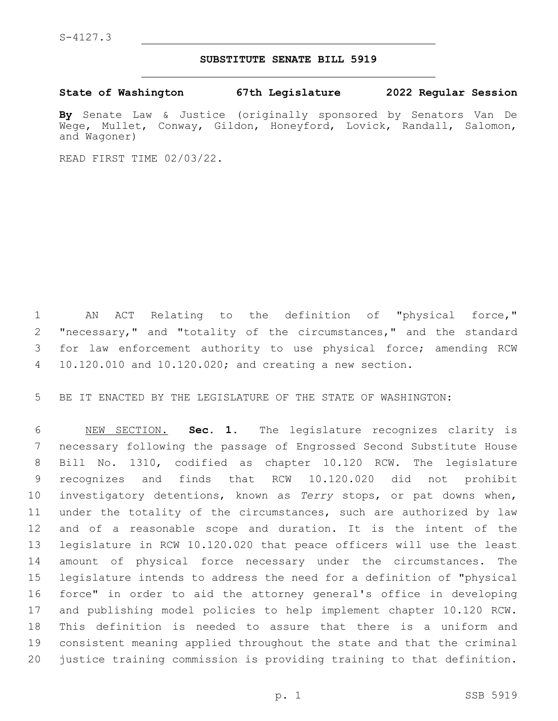## **SUBSTITUTE SENATE BILL 5919**

**State of Washington 67th Legislature 2022 Regular Session**

**By** Senate Law & Justice (originally sponsored by Senators Van De Wege, Mullet, Conway, Gildon, Honeyford, Lovick, Randall, Salomon, and Wagoner)

READ FIRST TIME 02/03/22.

 AN ACT Relating to the definition of "physical force," "necessary," and "totality of the circumstances," and the standard for law enforcement authority to use physical force; amending RCW 10.120.010 and 10.120.020; and creating a new section.

BE IT ENACTED BY THE LEGISLATURE OF THE STATE OF WASHINGTON:

 NEW SECTION. **Sec. 1.** The legislature recognizes clarity is necessary following the passage of Engrossed Second Substitute House Bill No. 1310, codified as chapter 10.120 RCW. The legislature recognizes and finds that RCW 10.120.020 did not prohibit investigatory detentions, known as *Terry* stops, or pat downs when, under the totality of the circumstances, such are authorized by law and of a reasonable scope and duration. It is the intent of the legislature in RCW 10.120.020 that peace officers will use the least amount of physical force necessary under the circumstances. The legislature intends to address the need for a definition of "physical force" in order to aid the attorney general's office in developing and publishing model policies to help implement chapter 10.120 RCW. This definition is needed to assure that there is a uniform and consistent meaning applied throughout the state and that the criminal justice training commission is providing training to that definition.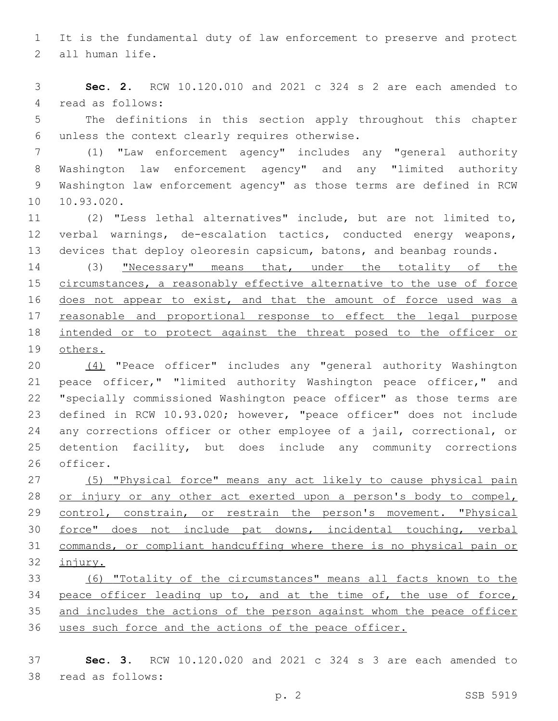It is the fundamental duty of law enforcement to preserve and protect 2 all human life.

 **Sec. 2.** RCW 10.120.010 and 2021 c 324 s 2 are each amended to 4 read as follows:

 The definitions in this section apply throughout this chapter unless the context clearly requires otherwise.6

 (1) "Law enforcement agency" includes any "general authority Washington law enforcement agency" and any "limited authority Washington law enforcement agency" as those terms are defined in RCW 10.93.020.

 (2) "Less lethal alternatives" include, but are not limited to, verbal warnings, de-escalation tactics, conducted energy weapons, devices that deploy oleoresin capsicum, batons, and beanbag rounds.

14 (3) "Necessary" means that, under the totality of the 15 circumstances, a reasonably effective alternative to the use of force does not appear to exist, and that the amount of force used was a 17 reasonable and proportional response to effect the legal purpose intended or to protect against the threat posed to the officer or others.

 (4) "Peace officer" includes any "general authority Washington peace officer," "limited authority Washington peace officer," and "specially commissioned Washington peace officer" as those terms are defined in RCW 10.93.020; however, "peace officer" does not include any corrections officer or other employee of a jail, correctional, or detention facility, but does include any community corrections 26 officer.

27 (5) "Physical force" means any act likely to cause physical pain 28 or injury or any other act exerted upon a person's body to compel, 29 control, constrain, or restrain the person's movement. "Physical force" does not include pat downs, incidental touching, verbal commands, or compliant handcuffing where there is no physical pain or injury.

 (6) "Totality of the circumstances" means all facts known to the 34 peace officer leading up to, and at the time of, the use of force, and includes the actions of the person against whom the peace officer uses such force and the actions of the peace officer.

 **Sec. 3.** RCW 10.120.020 and 2021 c 324 s 3 are each amended to 38 read as follows: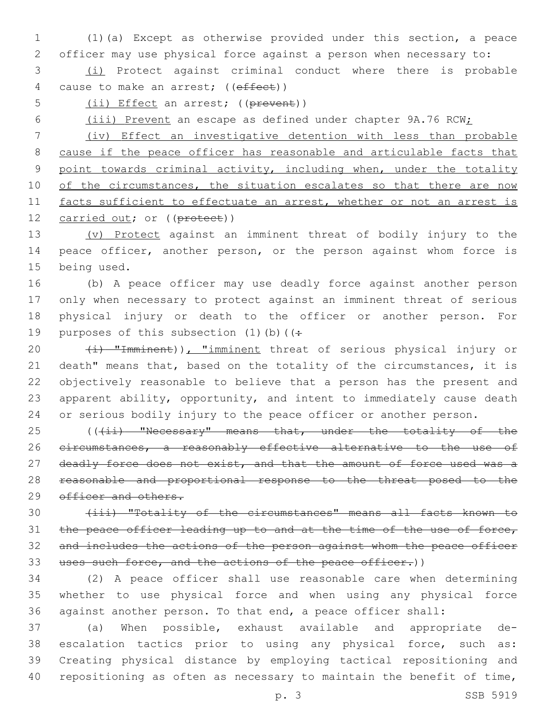1 (1)(a) Except as otherwise provided under this section, a peace 2 officer may use physical force against a person when necessary to:

3 (i) Protect against criminal conduct where there is probable 4 cause to make an arrest; ((effect))

5 (ii) Effect an arrest; ((prevent))

6 (iii) Prevent an escape as defined under chapter 9A.76 RCW;

7 (iv) Effect an investigative detention with less than probable 8 cause if the peace officer has reasonable and articulable facts that 9 point towards criminal activity, including when, under the totality 10 of the circumstances, the situation escalates so that there are now 11 facts sufficient to effectuate an arrest, whether or not an arrest is 12 carried out; or ((protect))

13 (v) Protect against an imminent threat of bodily injury to the 14 peace officer, another person, or the person against whom force is 15 being used.

 (b) A peace officer may use deadly force against another person only when necessary to protect against an imminent threat of serious physical injury or death to the officer or another person. For 19 purposes of this subsection  $(1)$  (b) ( $($ :

20 (i) "Imminent)), "imminent threat of serious physical injury or death" means that, based on the totality of the circumstances, it is objectively reasonable to believe that a person has the present and apparent ability, opportunity, and intent to immediately cause death or serious bodily injury to the peace officer or another person.

25 (((ii) "Necessary" means that, under the totality of the 26 eircumstances, a reasonably effective alternative to the use of 27 deadly force does not exist, and that the amount of force used was a 28 reasonable and proportional response to the threat posed to the 29 officer and others.

30 (iii) "Totality of the circumstances" means all facts known to 31 the peace officer leading up to and at the time of the use of force, 32 and includes the actions of the person against whom the peace officer 33 uses such force, and the actions of the peace officer.))

34 (2) A peace officer shall use reasonable care when determining 35 whether to use physical force and when using any physical force 36 against another person. To that end, a peace officer shall:

 (a) When possible, exhaust available and appropriate de- escalation tactics prior to using any physical force, such as: Creating physical distance by employing tactical repositioning and repositioning as often as necessary to maintain the benefit of time,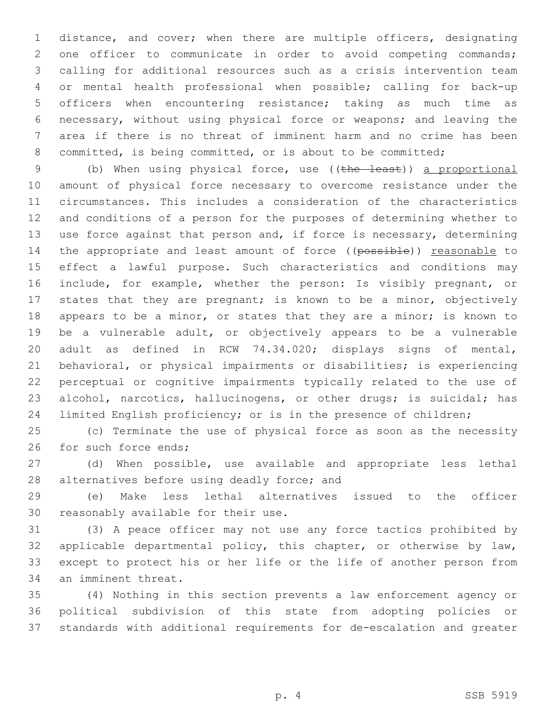distance, and cover; when there are multiple officers, designating one officer to communicate in order to avoid competing commands; calling for additional resources such as a crisis intervention team or mental health professional when possible; calling for back-up officers when encountering resistance; taking as much time as necessary, without using physical force or weapons; and leaving the area if there is no threat of imminent harm and no crime has been 8 committed, is being committed, or is about to be committed;

 (b) When using physical force, use ((the least)) a proportional amount of physical force necessary to overcome resistance under the circumstances. This includes a consideration of the characteristics and conditions of a person for the purposes of determining whether to use force against that person and, if force is necessary, determining 14 the appropriate and least amount of force ((possible)) reasonable to effect a lawful purpose. Such characteristics and conditions may include, for example, whether the person: Is visibly pregnant, or 17 states that they are pregnant; is known to be a minor, objectively 18 appears to be a minor, or states that they are a minor; is known to be a vulnerable adult, or objectively appears to be a vulnerable adult as defined in RCW 74.34.020; displays signs of mental, behavioral, or physical impairments or disabilities; is experiencing perceptual or cognitive impairments typically related to the use of alcohol, narcotics, hallucinogens, or other drugs; is suicidal; has limited English proficiency; or is in the presence of children;

 (c) Terminate the use of physical force as soon as the necessity 26 for such force ends;

 (d) When possible, use available and appropriate less lethal 28 alternatives before using deadly force; and

 (e) Make less lethal alternatives issued to the officer 30 reasonably available for their use.

 (3) A peace officer may not use any force tactics prohibited by applicable departmental policy, this chapter, or otherwise by law, except to protect his or her life or the life of another person from 34 an imminent threat.

 (4) Nothing in this section prevents a law enforcement agency or political subdivision of this state from adopting policies or standards with additional requirements for de-escalation and greater